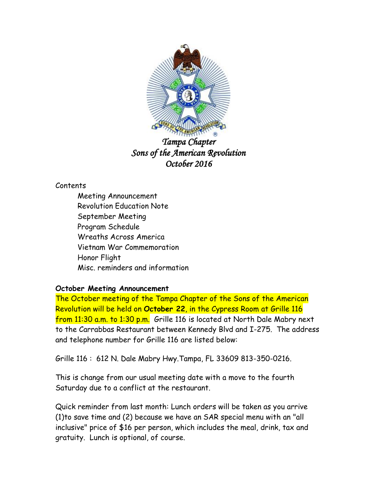

*Tampa Chapter Sons of the American Revolution October 2016* 

## Contents

Meeting Announcement Revolution Education Note September Meeting Program Schedule Wreaths Across America Vietnam War Commemoration Honor Flight Misc. reminders and information

# **October Meeting Announcement**

The October meeting of the Tampa Chapter of the Sons of the American Revolution will be held on **October 22**, in the Cypress Room at Grille 116 from 11:30 a.m. to 1:30 p.m. Grille 116 is located at North Dale Mabry next to the Carrabbas Restaurant between Kennedy Blvd and I-275. The address and telephone number for Grille 116 are listed below:

Grille 116 : 612 N. Dale Mabry Hwy.Tampa, FL 33609 813-350-0216.

This is change from our usual meeting date with a move to the fourth Saturday due to a conflict at the restaurant.

Quick reminder from last month: Lunch orders will be taken as you arrive (1)to save time and (2) because we have an SAR special menu with an "all inclusive" price of \$16 per person, which includes the meal, drink, tax and gratuity. Lunch is optional, of course.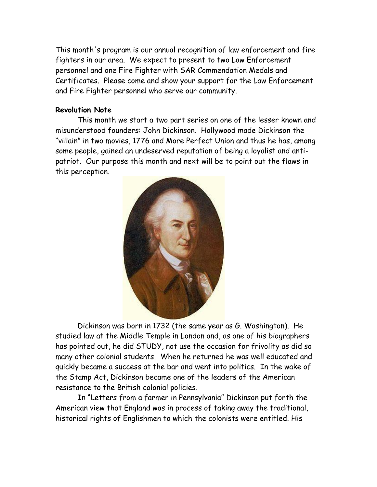This month's program is our annual recognition of law enforcement and fire fighters in our area. We expect to present to two Law Enforcement personnel and one Fire Fighter with SAR Commendation Medals and Certificates. Please come and show your support for the Law Enforcement and Fire Fighter personnel who serve our community.

#### **Revolution Note**

This month we start a two part series on one of the lesser known and misunderstood founders: John Dickinson. Hollywood made Dickinson the "villain" in two movies, 1776 and More Perfect Union and thus he has, among some people, gained an undeserved reputation of being a loyalist and antipatriot. Our purpose this month and next will be to point out the flaws in this perception.



Dickinson was born in 1732 (the same year as G. Washington). He studied law at the Middle Temple in London and, as one of his biographers has pointed out, he did STUDY, not use the occasion for frivolity as did so many other colonial students. When he returned he was well educated and quickly became a success at the bar and went into politics. In the wake of the Stamp Act, Dickinson became one of the leaders of the American resistance to the British colonial policies.

In "Letters from a farmer in Pennsylvania" Dickinson put forth the American view that England was in process of taking away the traditional, historical rights of Englishmen to which the colonists were entitled. His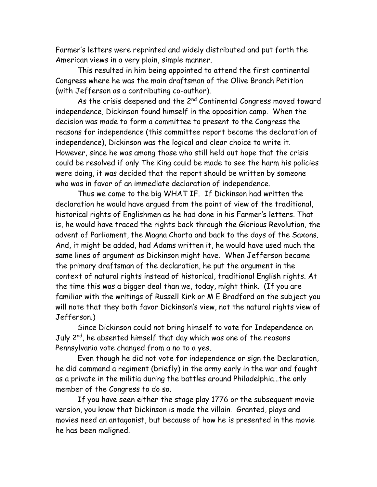Farmer's letters were reprinted and widely distributed and put forth the American views in a very plain, simple manner.

This resulted in him being appointed to attend the first continental Congress where he was the main draftsman of the Olive Branch Petition (with Jefferson as a contributing co-author).

As the crisis deepened and the  $2^{nd}$  Continental Congress moved toward independence, Dickinson found himself in the opposition camp. When the decision was made to form a committee to present to the Congress the reasons for independence (this committee report became the declaration of independence), Dickinson was the logical and clear choice to write it. However, since he was among those who still held out hope that the crisis could be resolved if only The King could be made to see the harm his policies were doing, it was decided that the report should be written by someone who was in favor of an immediate declaration of independence.

Thus we come to the big WHAT IF. If Dickinson had written the declaration he would have argued from the point of view of the traditional, historical rights of Englishmen as he had done in his Farmer's letters. That is, he would have traced the rights back through the Glorious Revolution, the advent of Parliament, the Magna Charta and back to the days of the Saxons. And, it might be added, had Adams written it, he would have used much the same lines of argument as Dickinson might have. When Jefferson became the primary draftsman of the declaration, he put the argument in the context of natural rights instead of historical, traditional English rights. At the time this was a bigger deal than we, today, might think. (If you are familiar with the writings of Russell Kirk or M E Bradford on the subject you will note that they both favor Dickinson's view, not the natural rights view of Jefferson.)

Since Dickinson could not bring himself to vote for Independence on July 2<sup>nd</sup>, he absented himself that day which was one of the reasons Pennsylvania vote changed from a no to a yes.

Even though he did not vote for independence or sign the Declaration, he did command a regiment (briefly) in the army early in the war and fought as a private in the militia during the battles around Philadelphia…the only member of the Congress to do so.

If you have seen either the stage play 1776 or the subsequent movie version, you know that Dickinson is made the villain. Granted, plays and movies need an antagonist, but because of how he is presented in the movie he has been maligned.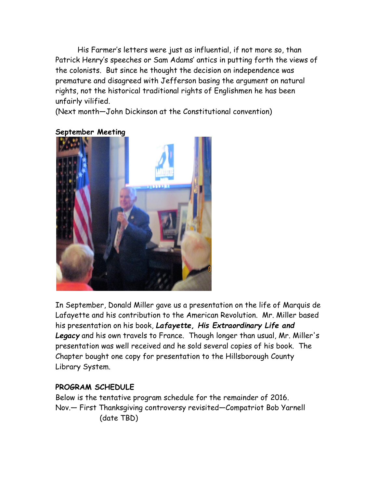His Farmer's letters were just as influential, if not more so, than Patrick Henry's speeches or Sam Adams' antics in putting forth the views of the colonists. But since he thought the decision on independence was premature and disagreed with Jefferson basing the argument on natural rights, not the historical traditional rights of Englishmen he has been unfairly vilified.

(Next month—John Dickinson at the Constitutional convention)



**September Meeting**

In September, Donald Miller gave us a presentation on the life of Marquis de Lafayette and his contribution to the American Revolution. Mr. Miller based his presentation on his book, *Lafayette, His Extraordinary Life and Legacy* and his own travels to France. Though longer than usual, Mr. Miller's presentation was well received and he sold several copies of his book. The Chapter bought one copy for presentation to the Hillsborough County Library System.

## **PROGRAM SCHEDULE**

Below is the tentative program schedule for the remainder of 2016. Nov.— First Thanksgiving controversy revisited—Compatriot Bob Yarnell (date TBD)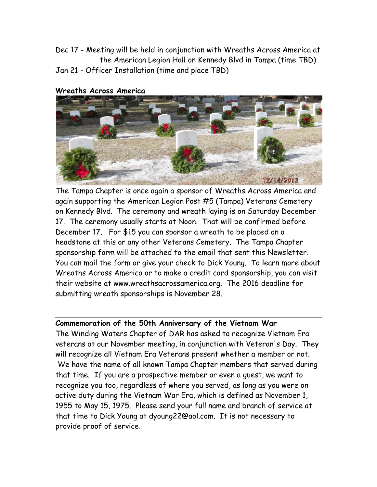Dec 17 - Meeting will be held in conjunction with Wreaths Across America at the American Legion Hall on Kennedy Blvd in Tampa (time TBD) Jan 21 - Officer Installation (time and place TBD)

#### **Wreaths Across America**



The Tampa Chapter is once again a sponsor of Wreaths Across America and again supporting the American Legion Post #5 (Tampa) Veterans Cemetery on Kennedy Blvd. The ceremony and wreath laying is on Saturday December 17. The ceremony usually starts at Noon. That will be confirmed before December 17. For \$15 you can sponsor a wreath to be placed on a headstone at this or any other Veterans Cemetery. The Tampa Chapter sponsorship form will be attached to the email that sent this Newsletter. You can mail the form or give your check to Dick Young. To learn more about Wreaths Across America or to make a credit card sponsorship, you can visit their website at www.wreathsacrossamerica.org. The 2016 deadline for submitting wreath sponsorships is November 28.

#### **Commemoration of the 50th Anniversary of the Vietnam War**

The Winding Waters Chapter of DAR has asked to recognize Vietnam Era veterans at our November meeting, in conjunction with Veteran's Day. They will recognize all Vietnam Era Veterans present whether a member or not. We have the name of all known Tampa Chapter members that served during that time. If you are a prospective member or even a guest, we want to recognize you too, regardless of where you served, as long as you were on active duty during the Vietnam War Era, which is defined as November 1, 1955 to May 15, 1975. Please send your full name and branch of service at that time to Dick Young at dyoung22@aol.com. It is not necessary to provide proof of service.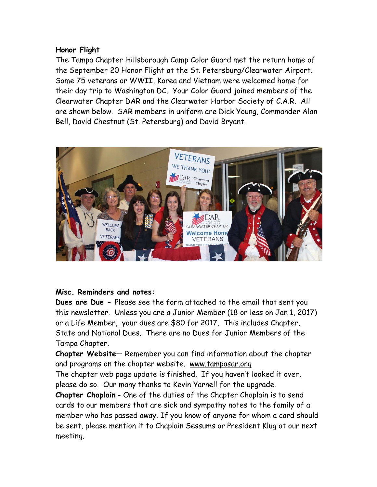### **Honor Flight**

The Tampa Chapter Hillsborough Camp Color Guard met the return home of the September 20 Honor Flight at the St. Petersburg/Clearwater Airport. Some 75 veterans or WWII, Korea and Vietnam were welcomed home for their day trip to Washington DC. Your Color Guard joined members of the Clearwater Chapter DAR and the Clearwater Harbor Society of C.A.R. All are shown below. SAR members in uniform are Dick Young, Commander Alan Bell, David Chestnut (St. Petersburg) and David Bryant.



### **Misc. Reminders and notes:**

**Dues are Due -** Please see the form attached to the email that sent you this newsletter. Unless you are a Junior Member (18 or less on Jan 1, 2017) or a Life Member, your dues are \$80 for 2017. This includes Chapter, State and National Dues. There are no Dues for Junior Members of the Tampa Chapter.

**Chapter Website**— Remember you can find information about the chapter and programs on the chapter website. [www.tampasar.org](http://www.tampasar.org/)

The chapter web page update is finished. If you haven't looked it over, please do so. Our many thanks to Kevin Yarnell for the upgrade.

**Chapter Chaplain** - One of the duties of the Chapter Chaplain is to send cards to our members that are sick and sympathy notes to the family of a member who has passed away. If you know of anyone for whom a card should be sent, please mention it to Chaplain Sessums or President Klug at our next meeting.